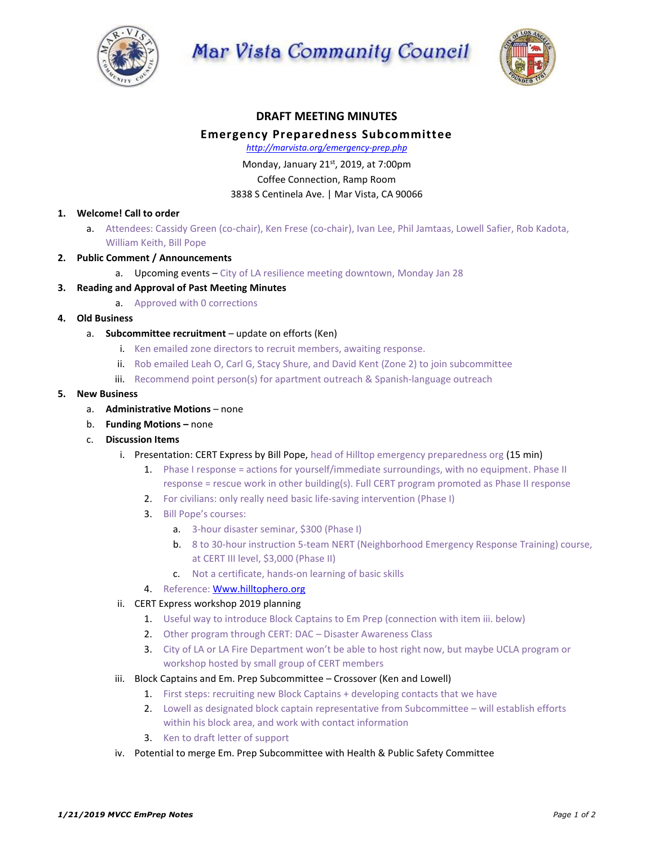

Mar Vista Community Council



# **DRAFT MEETING MINUTES Emergency Preparedness Subcommittee**

*http://marvista.org/emergency-prep.php*

## Monday, January 21st, 2019, at 7:00pm Coffee Connection, Ramp Room 3838 S Centinela Ave. | Mar Vista, CA 90066

### **1. Welcome! Call to order**

- a. Attendees: Cassidy Green (co-chair), Ken Frese (co-chair), Ivan Lee, Phil Jamtaas, Lowell Safier, Rob Kadota, William Keith, Bill Pope
- **2. Public Comment / Announcements**
	- a. Upcoming events City of LA resilience meeting downtown, Monday Jan 28

### **3. Reading and Approval of Past Meeting Minutes**

- a. Approved with 0 corrections
- **4. Old Business**
	- a. **Subcommittee recruitment** update on efforts (Ken)
		- i. Ken emailed zone directors to recruit members, awaiting response.
		- ii. Rob emailed Leah O, Carl G, Stacy Shure, and David Kent (Zone 2) to join subcommittee
		- iii. Recommend point person(s) for apartment outreach & Spanish-language outreach

### **5. New Business**

- a. **Administrative Motions** none
- b. **Funding Motions –** none
- c. **Discussion Items**
	- i. Presentation: CERT Express by Bill Pope, head of Hilltop emergency preparedness org (15 min)
		- 1. Phase I response = actions for yourself/immediate surroundings, with no equipment. Phase II response = rescue work in other building(s). Full CERT program promoted as Phase II response
		- 2. For civilians: only really need basic life-saving intervention (Phase I)
		- 3. Bill Pope's courses:
			- a. 3-hour disaster seminar, \$300 (Phase I)
			- b. 8 to 30-hour instruction 5-team NERT (Neighborhood Emergency Response Training) course, at CERT III level, \$3,000 (Phase II)
			- c. Not a certificate, hands-on learning of basic skills
		- 4. Reference: [Www.hilltophero.org](http://www.hilltophero.org/)
	- ii. CERT Express workshop 2019 planning
		- 1. Useful way to introduce Block Captains to Em Prep (connection with item iii. below)
		- 2. Other program through CERT: DAC Disaster Awareness Class
		- 3. City of LA or LA Fire Department won't be able to host right now, but maybe UCLA program or workshop hosted by small group of CERT members
	- iii. Block Captains and Em. Prep Subcommittee Crossover (Ken and Lowell)
		- 1. First steps: recruiting new Block Captains + developing contacts that we have
		- 2. Lowell as designated block captain representative from Subcommittee will establish efforts within his block area, and work with contact information
		- 3. Ken to draft letter of support
	- iv. Potential to merge Em. Prep Subcommittee with Health & Public Safety Committee